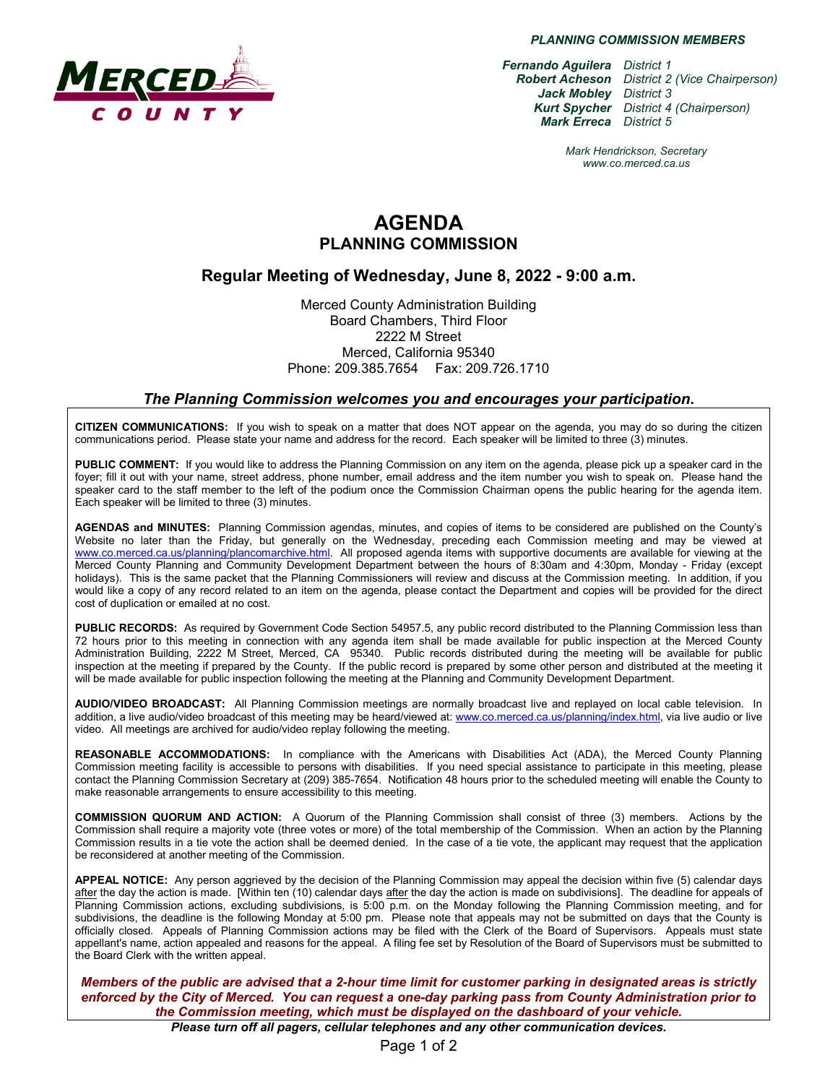

*PLANNING COMMISSION MEMBERS*

*Fernando Aguilera District 1 Robert Acheson District 2 (Vice Chairperson) Jack Mobley District 3 Kurt Spycher District 4 (Chairperson) Mark Erreca District 5*

> *Mark Hendrickson, Secretary www.co.merced.ca.us*

# **AGENDA PLANNING COMMISSION**

### **Regular Meeting of Wednesday, June 8, 2022 - 9:00 a.m.**

Merced County Administration Building Board Chambers, Third Floor 2222 M Street Merced, California 95340 Phone: 209.385.7654 Fax: 209.726.1710

#### *The Planning Commission welcomes you and encourages your participation***.**

**CITIZEN COMMUNICATIONS:** If you wish to speak on a matter that does NOT appear on the agenda, you may do so during the citizen communications period. Please state your name and address for the record. Each speaker will be limited to three (3) minutes.

**PUBLIC COMMENT:** If you would like to address the Planning Commission on any item on the agenda, please pick up a speaker card in the foyer; fill it out with your name, street address, phone number, email address and the item number you wish to speak on. Please hand the speaker card to the staff member to the left of the podium once the Commission Chairman opens the public hearing for the agenda item. Each speaker will be limited to three (3) minutes.

**AGENDAS and MINUTES:** Planning Commission agendas, minutes, and copies of items to be considered are published on the County's Website no later than the Friday, but generally on the Wednesday, preceding each Commission meeting and may be viewed at [www.co.merced.ca.us/planning/plancomarchive.html.](http://www.co.merced.ca.us/planning/plancomarchive.html) All proposed agenda items with supportive documents are available for viewing at the Merced County Planning and Community Development Department between the hours of 8:30am and 4:30pm, Monday - Friday (except holidays). This is the same packet that the Planning Commissioners will review and discuss at the Commission meeting. In addition, if you would like a copy of any record related to an item on the agenda, please contact the Department and copies will be provided for the direct cost of duplication or emailed at no cost.

**PUBLIC RECORDS:** As required by Government Code Section 54957.5, any public record distributed to the Planning Commission less than 72 hours prior to this meeting in connection with any agenda item shall be made available for public inspection at the Merced County Administration Building, 2222 M Street, Merced, CA 95340. Public records distributed during the meeting will be available for public inspection at the meeting if prepared by the County. If the public record is prepared by some other person and distributed at the meeting it will be made available for public inspection following the meeting at the Planning and Community Development Department.

**AUDIO/VIDEO BROADCAST:** All Planning Commission meetings are normally broadcast live and replayed on local cable television. In addition, a live audio/video broadcast of this meeting may be heard/viewed at: [www.co.merced.ca.us/planning/index.html,](http://www.co.merced.ca.us/planning/index.html) via live audio or live video. All meetings are archived for audio/video replay following the meeting.

**REASONABLE ACCOMMODATIONS:** In compliance with the Americans with Disabilities Act (ADA), the Merced County Planning Commission meeting facility is accessible to persons with disabilities. If you need special assistance to participate in this meeting, please contact the Planning Commission Secretary at (209) 385-7654. Notification 48 hours prior to the scheduled meeting will enable the County to make reasonable arrangements to ensure accessibility to this meeting.

**COMMISSION QUORUM AND ACTION:** A Quorum of the Planning Commission shall consist of three (3) members. Actions by the Commission shall require a majority vote (three votes or more) of the total membership of the Commission. When an action by the Planning Commission results in a tie vote the action shall be deemed denied. In the case of a tie vote, the applicant may request that the application be reconsidered at another meeting of the Commission.

**APPEAL NOTICE:** Any person aggrieved by the decision of the Planning Commission may appeal the decision within five (5) calendar days after the day the action is made. [Within ten (10) calendar days after the day the action is made on subdivisions]. The deadline for appeals of Planning Commission actions, excluding subdivisions, is 5:00 p.m. on the Monday following the Planning Commission meeting, and for subdivisions, the deadline is the following Monday at 5:00 pm. Please note that appeals may not be submitted on days that the County is officially closed. Appeals of Planning Commission actions may be filed with the Clerk of the Board of Supervisors. Appeals must state appellant's name, action appealed and reasons for the appeal. A filing fee set by Resolution of the Board of Supervisors must be submitted to the Board Clerk with the written appeal.

*Members of the public are advised that a 2-hour time limit for customer parking in designated areas is strictly enforced by the City of Merced. You can request a one-day parking pass from County Administration prior to the Commission meeting, which must be displayed on the dashboard of your vehicle.*

*Please turn off all pagers, cellular telephones and any other communication devices.*